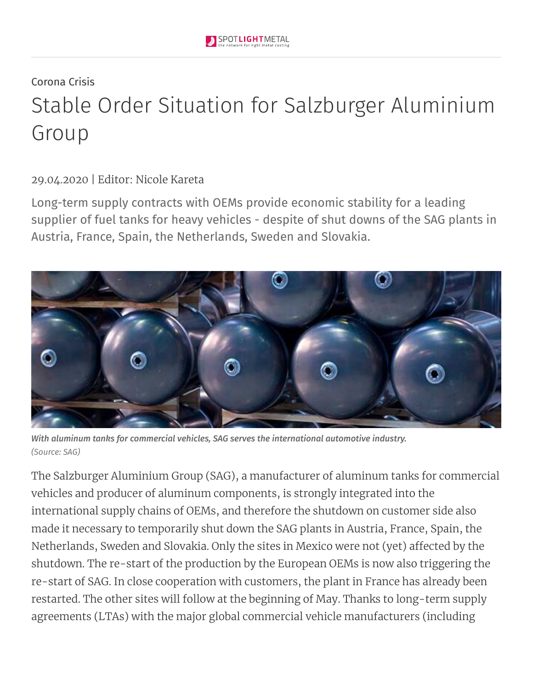## Corona Crisis Stable Order Situation for Salzburger Aluminium Group

29.04.2020 | Editor: Nicole Kareta

Long-term supply contracts with OEMs provide economic stability for a leading supplier of fuel tanks for heavy vehicles - despite of shut downs of the SAG plants in Austria, France, Spain, the Netherlands, Sweden and Slovakia.



*With aluminum tanks for commercial vehicles, SAG serves the international automotive industry. (Source: SAG)*

The Salzburger Aluminium Group (SAG), a manufacturer of aluminum tanks for commercial vehicles and producer of aluminum components, is strongly integrated into the international supply chains of OEMs, and therefore the shutdown on customer side also made it necessary to temporarily shut down the SAG plants in Austria, France, Spain, the Netherlands, Sweden and Slovakia. Only the sites in Mexico were not (yet) affected by the shutdown. The re-start of the production by the European OEMs is now also triggering the re-start of SAG. In close cooperation with customers, the plant in France has already been restarted. The other sites will follow at the beginning of May. Thanks to long-term supply agreements (LTAs) with the major global commercial vehicle manufacturers (including